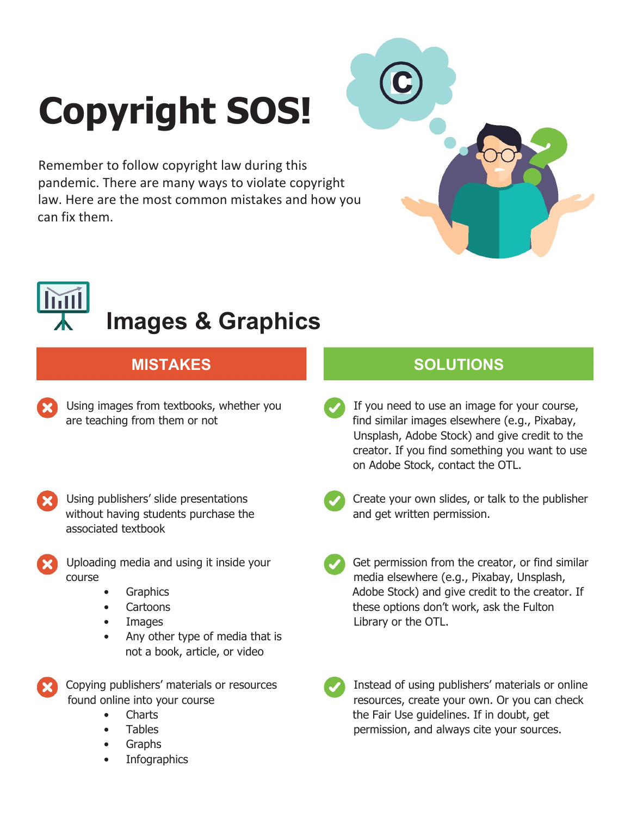## **Copyright SOS!**

Remember to follow copyright law during this pandemic. There are many ways to violate copyright law. Here are the most common mistakes and how you can fix them.



# **Images & Graphics**

- Using images from textbooks, whether you are teaching from them or not
- Using publishers' slide presentations without having students purchase the associated textbook
- Uploading media and using it inside your course
	- **Graphics**
	- Cartoons
	- **Images**
	- Any other type of media that is not a book, article, or video

Copying publishers' materials or resources found online into your course

- Charts
- **Tables**
- Graphs
- **Infographics**

### **MISTAKES SOLUTIONS**

- If you need to use an image for your course, find similar images elsewhere (e.g., Pixabay, Unsplash, Adobe Stock) and give credit to the creator. If you find something you want to use on Adobe Stock, contact the OTL.
- 

Create your own slides, or talk to the publisher and get written permission.

- Get permission from the creator, or find similar media elsewhere (e.g., Pixabay, Unsplash, Adobe Stock) and give credit to the creator. If these options don't work, ask the Fulton Library or the OTL.
- 

Instead of using publishers' materials or online resources, create your own. Or you can check the Fair Use guidelines. If in doubt, get permission, and always cite your sources.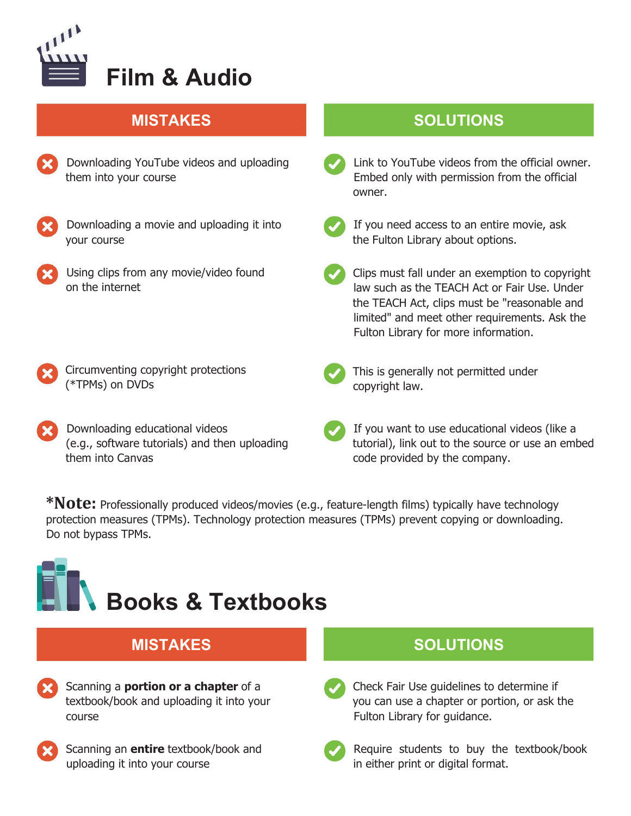

| Downloading YouTube videos and uploading |
|------------------------------------------|
| them into your course                    |

Downloading a movie and uploading it into your course

- Using clips from any movie/video found on the internet
- Circumventing copyright protections (\*TPMs) on DVDs
- Downloading educational videos (e.g., software tutorials) and then uploading them into Canvas

### **MISTAKES SOLUTIONS**

- - Link to YouTube videos from the official owner. Embed only with permission from the official owner.



If you need access to an entire movie, ask the Fulton Library about options.

- Clips must fall under an exemption to copyright law such as the TEACH Act or Fair Use. Under the TEACH Act, clips must be "reasonable and limited" and meet other requirements. Ask the Fulton Library for more information.
- This is generally not permitted under copyright law.
- If you want to use educational videos (like a tutorial), link out to the source or use an embed code provided by the company.

**\*Note:** Professionally produced videos/movies (e.g., feature-length films) typically have technology protection measures (TPMs). Technology protection measures (TPMs) prevent copying or downloading. Do not bypass TPMs.

## **Books & Textbooks**

| <b>MISTAKES</b>                             |  |
|---------------------------------------------|--|
| Scanning a <b>portion or a chapter</b> of a |  |

- Scanning a **portion or a chapter** of a textbook/book and uploading it into your course
- 
- Scanning an **entire** textbook/book and uploading it into your course

### **MISTAKES SOLUTIONS**

Check Fair Use guidelines to determine if you can use a chapter or portion, or ask the Fulton Library for guidance.



Require students to buy the textbook/book in either print or digital format.